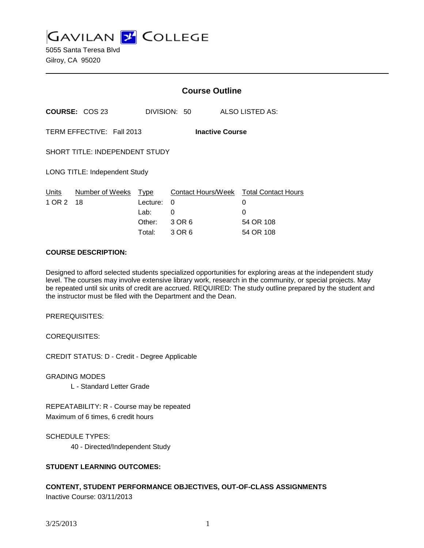**GAVILAN 2 COLLEGE** 

5055 Santa Teresa Blvd Gilroy, CA 95020

|                                                     |                                      | <b>Course Outline</b> |              |                                        |
|-----------------------------------------------------|--------------------------------------|-----------------------|--------------|----------------------------------------|
|                                                     | <b>COURSE: COS 23</b>                |                       | DIVISION: 50 | ALSO LISTED AS:                        |
| TERM EFFECTIVE: Fall 2013<br><b>Inactive Course</b> |                                      |                       |              |                                        |
| <b>SHORT TITLE: INDEPENDENT STUDY</b>               |                                      |                       |              |                                        |
|                                                     | <b>LONG TITLE: Independent Study</b> |                       |              |                                        |
| Units                                               | Number of Weeks                      | Type                  |              | Contact Hours/Week Total Contact Hours |
| 1 OR 2                                              | 18                                   | Lecture:              | 0            | 0                                      |
|                                                     |                                      | Lab:                  | $\Omega$     | 0                                      |
|                                                     |                                      | Other:                | 3 OR 6       | 54 OR 108                              |
|                                                     |                                      | Total:                | 3 OR 6       | 54 OR 108                              |

#### **COURSE DESCRIPTION:**

Designed to afford selected students specialized opportunities for exploring areas at the independent study level. The courses may involve extensive library work, research in the community, or special projects. May be repeated until six units of credit are accrued. REQUIRED: The study outline prepared by the student and the instructor must be filed with the Department and the Dean.

PREREQUISITES:

COREQUISITES:

CREDIT STATUS: D - Credit - Degree Applicable

GRADING MODES

L - Standard Letter Grade

REPEATABILITY: R - Course may be repeated Maximum of 6 times, 6 credit hours

SCHEDULE TYPES:

40 - Directed/Independent Study

### **STUDENT LEARNING OUTCOMES:**

# **CONTENT, STUDENT PERFORMANCE OBJECTIVES, OUT-OF-CLASS ASSIGNMENTS**

Inactive Course: 03/11/2013